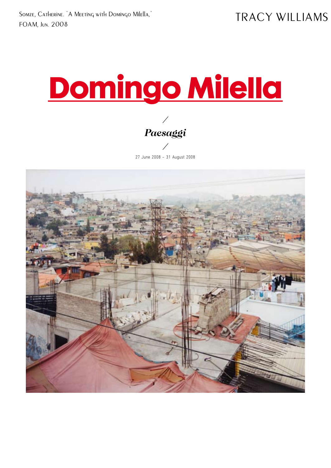Somze, Catherine. "A Meeting with Domingo Milella," FOAM, Jun. 2008

# **Domingo Milella**

**⁄ Paesaggi ⁄**

27 June 2008 – 31 August 2008

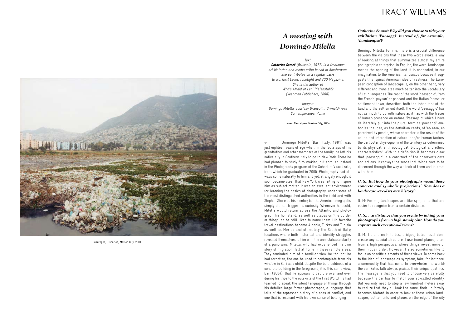## **A meeting with Domingo Milella**

Text:

Catherine Somzé (Brussels, 1977) is a freelance art historian and media critic based in Amsterdam. She contributes on a regular basis to a.o. Next Level, Tubelight and ZOO Magazine. She is the author of Who's Afraid of Leni Riefenstahl? (Veenman Publishers, 2008).

Images: Domingo Milella, courtesy Brancolini Grimaldi Arte Contemporanea, Rome

cover: Naucalpan, Mexico City, 2004

 Domingo Milella (Bari, Italy, 1981) was just eighteen years of age when, in the footsteps of his grandfather and other members of the family, he left his native city in Southern Italy to go to New York. There he had planned to study film-making, but enrolled instead in the Photography program of the School of Visual Arts, from which he graduated in 2005. Photography had al ways come naturally to him and yet, strangely enough, it soon became clear that New York was failing to inspire him as subject matter. It was an excellent environment for learning the basics of photography, under some of the most distinguished authorities in the field and with Stephen Shore as his mentor; but the American megapolis simply did not trigger his curiosity. Whenever he could, Milella would return across the Atlantic and photograph his homeland, as well as places on 'the border of things' as he still likes to name them. His favorite travel destinations became Albania, Turkey and Tunisia as well as Mexico and ultimately the South of Italy; locations where both historical and identity struggles revealed themselves to him with the unmistakable clarity of a panorama. Milella, who had experienced his own story of migration, felt at home in these remote areas. They reminded him of a familiar view he thought he had forgotten, the one he used to contemplate from his window in Bari as a child. Despite the bold coldness of a concrete building in the foreground, it is this same view, Bari (2004), that he appears to capture over and over during his trips to the outskirts of the First World. He had learned to speak the silent language of things through his detailed large-format photographs, a language that tells of the repressed history of places of conflict, and one that is resonant with his own sense of belonging.

#### **Catherine Somzé: Why did you choose to title your exhibition 'Paesaggi' instead of, for example, 'Landscapes'?**

Domingo Milella: For me, there is a crucial difference between the visions that these two words evoke; a way of looking at things that summarizes almost my entire photographic enterprise. In English, the word 'landscape' means the opening of the land. It is connected, in our imagination, to the American landscape because it sug gests this typical American idea of vastness. The Euro pean conception of landscape is, on the other hand, very different and translates much better into the vocabulary of Latin languages. The root of the word 'paesaggio', from the French 'paysan' or peasant and the Italian 'paese' or settlement-town, describes both the inhabitant of the land and the settlement itself. The word 'paesaggio' has not as much to do with nature as it has with the traces of human presence on nature. 'Paesaggio' which I have deliberately put into the plural form as 'paesaggi' em bodies the idea, as the definition reads, of 'an area, as perceived by people, whose character is the result of the action and interaction of natural and/or human factors; the particular physiognomy of the territory as determined by its physical, anthropological, biological and ethnic characteristics.' With this definition it becomes clear that 'paesaggio' is a construct of the observer's gaze and actions. It conveys the sense that things have to be discerned through the way we look at them and interact with them.

#### **C. S.: But how do your photographs reveal these concrete and symbolic projections? How does a landscape reveal its own history?**

D. M: For me, landscapes are like symptoms that are easier to recognize from a certain distance.

#### **C. S.: …a distance that you create by taking your photographs from a high standpoint. How do you capture such exceptional views?**

D. M.: I stand on hillsides, bridges, balconies…I don't create any special structure. I use found places, often from a high perspective, where things reveal more of their hidden order. However, I also sometimes like to focus on specific elements of these views. To come back to the idea of landscape as symptom, take, for instance, a commodity that has come to overwhelm the world: the car. Sales talk always praises their unique qualities. The message is that you need to choose very carefully because the car has to match your so-called identity. But you only need to step a few hundred meters away to realize that they all look the same; their uniformity becomes blatant. In order to look at those urban land scapes, settlements and places on the edge of the city



Cuautepec, Discarica, Mexico City, 2004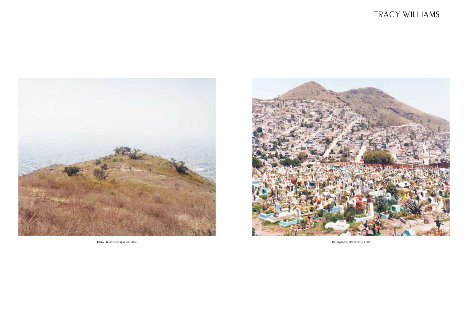

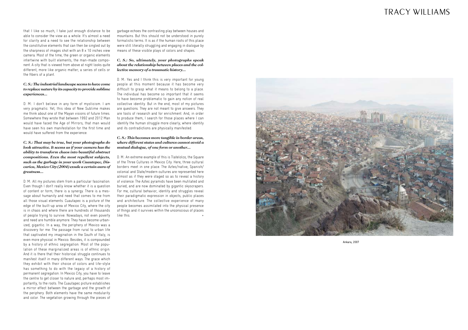## TRACY WILLIAMS

that I like so much, I take just enough distance to be able to consider the view as a whole. It's almost a need for clarity and a need to see the relationship between the constitutive elements that can then be singled out by the sharpness of images shot with an 8 x 10 inches view camera. Most of the time, the green or organic elements intertwine with built elements, the man-made compo nent. A city that is viewed from above at night looks quite different, more like organic matter; a series of cells or the fibers of a plant.

#### **C. S.: The industrial landscape seems to have come to replace nature by its capacity to provide sublime experiences…**

D. M.: I don't believe in any form of mysticism. I am very pragmatic. Yet, this idea of New Sublime makes me think about one of the Mayan visions of future times. Somewhere they wrote that between 1992 and 2012 Man would have faced the Age of Mirrors; that man would have seen his own manifestation for the first time and would have suffered from the experience.

**C. S.: That may be true, but your photographs do look attractive. It seems as if your camera has the ability to transform chaos into beautiful abstract compositions. Even the most repellent subjects, such as the garbage in your work Cuautepec, Dis carica, Mexico City (2004) exude a certain aura of greatness…** 

D. M.: All my pictures stem from a particular fascination. Even though I don't really know whether it is a question of content or form, there is a synergy. There is a mes sage about humanity and need that comes to me from all those visual elements. Cuautapec is a picture of the edge of the built-up area of Mexico City, where the city is in chaos and where there are hundreds of thousands of people trying to survive. Nowadays, not even poverty and need are humble anymore. They have become urban ized, gigantic. In a way, the periphery of Mexico was a discovery for me. The passage from rural to urban life that captivated my imagination in the South of Italy, is even more physical in Mexico. Besides, it is compounded by a history of ethnic segregation. Most of the popu lation of these marginalized areas is of ethnic origin. And it is there that their historical struggle continues to manifest itself in many different ways. The grace which they exhibit with their choice of colors and life-style has something to do with the legacy of a history of permanent segregation. In Mexico City, you have to leave the centre to get closer to nature and, perhaps most im portantly, to the roots. The Cuautapec picture establishes a mirror effect between the garbage and the growth of the periphery. Both elements have the same modularity and color. The vegetation growing through the pieces of

garbage echoes the contrasting play between houses and mountains. But this should not be understood in purely formalistic terms. It is as if the human roots of this place were still literally struggling and engaging in dialogue by means of these visible plays of colors and shapes.

#### **C. S.: So, ultimately, your photographs speak about the relationship between places and the collective memory of a traumatic history…**

D. M.: Yes and I think this is very important for young people at this moment because it has become very difficult to grasp what it means to belong to a place. The individual has become so important that it seems to have become problematic to gain any notion of real collective identity. But in the end, most of my pictures are questions. They are not meant to give answers. They are tools of research and for enrichment. And, in order to produce them, I search for those places where I can identify the human struggle more clearly; where identity and its contradictions are physically manifested.

#### **C. S.: This becomes more tangible in border areas, where different states and cultures cannot avoid a mutual dialogue, of one form or another…**

D. M.: An extreme example of this is Tlatelolco, the Square of the Three Cultures in Mexico City. Here, three cultural borders meet in one place. The Aztec/native, Spanish/ colonial and State/modern cultures are represented here almost as if they were staged so as to reveal a history of violence. The Aztec pyramids have been mutilated and buried, and are now dominated by gigantic skyscrapers. For me, cultural behavior, identity and struggles reveal their paradigmatic expression in objects, public places and architecture. The collective experience of many people becomes assimilated into the physical presence of things and it survives within the unconscious of places like this. +



Ankara, 2007